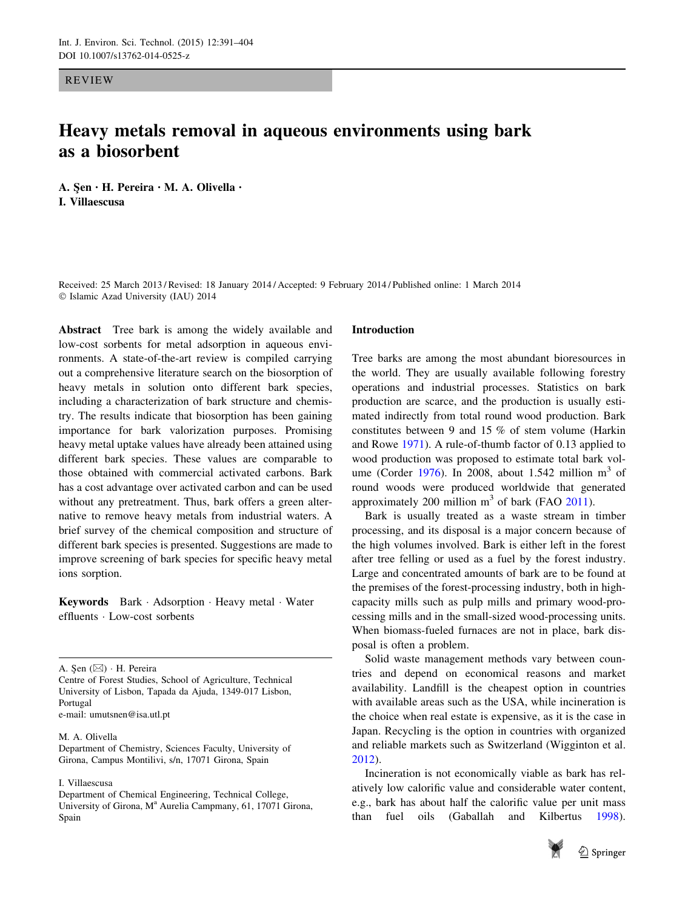REVIEW

# Heavy metals removal in aqueous environments using bark as a biosorbent

A. Sen · H. Pereira · M. A. Olivella · I. Villaescusa

Received: 25 March 2013 / Revised: 18 January 2014 / Accepted: 9 February 2014 / Published online: 1 March 2014 - Islamic Azad University (IAU) 2014

Abstract Tree bark is among the widely available and low-cost sorbents for metal adsorption in aqueous environments. A state-of-the-art review is compiled carrying out a comprehensive literature search on the biosorption of heavy metals in solution onto different bark species, including a characterization of bark structure and chemistry. The results indicate that biosorption has been gaining importance for bark valorization purposes. Promising heavy metal uptake values have already been attained using different bark species. These values are comparable to those obtained with commercial activated carbons. Bark has a cost advantage over activated carbon and can be used without any pretreatment. Thus, bark offers a green alternative to remove heavy metals from industrial waters. A brief survey of the chemical composition and structure of different bark species is presented. Suggestions are made to improve screening of bark species for specific heavy metal ions sorption.

Keywords Bark · Adsorption · Heavy metal · Water effluents - Low-cost sorbents

A. Şen (⊠) · H. Pereira

Centre of Forest Studies, School of Agriculture, Technical University of Lisbon, Tapada da Ajuda, 1349-017 Lisbon, Portugal e-mail: umutsnen@isa.utl.pt

#### M. A. Olivella

Department of Chemistry, Sciences Faculty, University of Girona, Campus Montilivi, s/n, 17071 Girona, Spain

#### I. Villaescusa

#### Introduction

Tree barks are among the most abundant bioresources in the world. They are usually available following forestry operations and industrial processes. Statistics on bark production are scarce, and the production is usually estimated indirectly from total round wood production. Bark constitutes between 9 and 15 % of stem volume (Harkin and Rowe [1971](#page-11-0)). A rule-of-thumb factor of 0.13 applied to wood production was proposed to estimate total bark vol-ume (Corder [1976](#page-11-0)). In 2008, about 1.542 million  $m<sup>3</sup>$  of round woods were produced worldwide that generated approximately 200 million  $m<sup>3</sup>$  of bark (FAO [2011](#page-11-0)).

Bark is usually treated as a waste stream in timber processing, and its disposal is a major concern because of the high volumes involved. Bark is either left in the forest after tree felling or used as a fuel by the forest industry. Large and concentrated amounts of bark are to be found at the premises of the forest-processing industry, both in highcapacity mills such as pulp mills and primary wood-processing mills and in the small-sized wood-processing units. When biomass-fueled furnaces are not in place, bark disposal is often a problem.

Solid waste management methods vary between countries and depend on economical reasons and market availability. Landfill is the cheapest option in countries with available areas such as the USA, while incineration is the choice when real estate is expensive, as it is the case in Japan. Recycling is the option in countries with organized and reliable markets such as Switzerland (Wigginton et al. [2012](#page-13-0)).

Incineration is not economically viable as bark has relatively low calorific value and considerable water content, e.g., bark has about half the calorific value per unit mass than fuel oils (Gaballah and Kilbertus [1998](#page-11-0)).



Department of Chemical Engineering, Technical College, University of Girona,  $M^a$  Aurelia Campmany, 61, 17071 Girona, Spain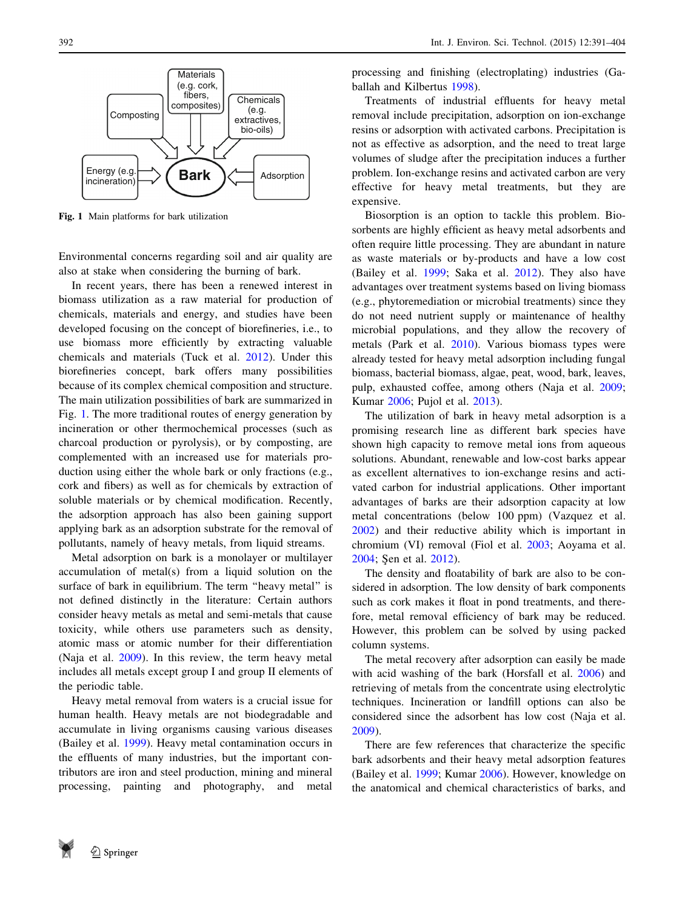

Fig. 1 Main platforms for bark utilization

Environmental concerns regarding soil and air quality are also at stake when considering the burning of bark.

In recent years, there has been a renewed interest in biomass utilization as a raw material for production of chemicals, materials and energy, and studies have been developed focusing on the concept of biorefineries, i.e., to use biomass more efficiently by extracting valuable chemicals and materials (Tuck et al. [2012\)](#page-12-0). Under this biorefineries concept, bark offers many possibilities because of its complex chemical composition and structure. The main utilization possibilities of bark are summarized in Fig. 1. The more traditional routes of energy generation by incineration or other thermochemical processes (such as charcoal production or pyrolysis), or by composting, are complemented with an increased use for materials production using either the whole bark or only fractions (e.g., cork and fibers) as well as for chemicals by extraction of soluble materials or by chemical modification. Recently, the adsorption approach has also been gaining support applying bark as an adsorption substrate for the removal of pollutants, namely of heavy metals, from liquid streams.

Metal adsorption on bark is a monolayer or multilayer accumulation of metal(s) from a liquid solution on the surface of bark in equilibrium. The term "heavy metal" is not defined distinctly in the literature: Certain authors consider heavy metals as metal and semi-metals that cause toxicity, while others use parameters such as density, atomic mass or atomic number for their differentiation (Naja et al. [2009](#page-12-0)). In this review, the term heavy metal includes all metals except group I and group II elements of the periodic table.

Heavy metal removal from waters is a crucial issue for human health. Heavy metals are not biodegradable and accumulate in living organisms causing various diseases (Bailey et al. [1999](#page-11-0)). Heavy metal contamination occurs in the effluents of many industries, but the important contributors are iron and steel production, mining and mineral processing, painting and photography, and metal processing and finishing (electroplating) industries (Gaballah and Kilbertus [1998](#page-11-0)).

Treatments of industrial effluents for heavy metal removal include precipitation, adsorption on ion-exchange resins or adsorption with activated carbons. Precipitation is not as effective as adsorption, and the need to treat large volumes of sludge after the precipitation induces a further problem. Ion-exchange resins and activated carbon are very effective for heavy metal treatments, but they are expensive.

Biosorption is an option to tackle this problem. Biosorbents are highly efficient as heavy metal adsorbents and often require little processing. They are abundant in nature as waste materials or by-products and have a low cost (Bailey et al. [1999;](#page-11-0) Saka et al. [2012\)](#page-12-0). They also have advantages over treatment systems based on living biomass (e.g., phytoremediation or microbial treatments) since they do not need nutrient supply or maintenance of healthy microbial populations, and they allow the recovery of metals (Park et al. [2010](#page-12-0)). Various biomass types were already tested for heavy metal adsorption including fungal biomass, bacterial biomass, algae, peat, wood, bark, leaves, pulp, exhausted coffee, among others (Naja et al. [2009](#page-12-0); Kumar [2006](#page-11-0); Pujol et al. [2013](#page-12-0)).

The utilization of bark in heavy metal adsorption is a promising research line as different bark species have shown high capacity to remove metal ions from aqueous solutions. Abundant, renewable and low-cost barks appear as excellent alternatives to ion-exchange resins and activated carbon for industrial applications. Other important advantages of barks are their adsorption capacity at low metal concentrations (below 100 ppm) (Vazquez et al. [2002](#page-12-0)) and their reductive ability which is important in chromium (VI) removal (Fiol et al. [2003](#page-11-0); Aoyama et al. [2004](#page-11-0); Sen et al. [2012\)](#page-12-0).

The density and floatability of bark are also to be considered in adsorption. The low density of bark components such as cork makes it float in pond treatments, and therefore, metal removal efficiency of bark may be reduced. However, this problem can be solved by using packed column systems.

The metal recovery after adsorption can easily be made with acid washing of the bark (Horsfall et al. [2006](#page-11-0)) and retrieving of metals from the concentrate using electrolytic techniques. Incineration or landfill options can also be considered since the adsorbent has low cost (Naja et al. [2009](#page-12-0)).

There are few references that characterize the specific bark adsorbents and their heavy metal adsorption features (Bailey et al. [1999](#page-11-0); Kumar [2006](#page-11-0)). However, knowledge on the anatomical and chemical characteristics of barks, and

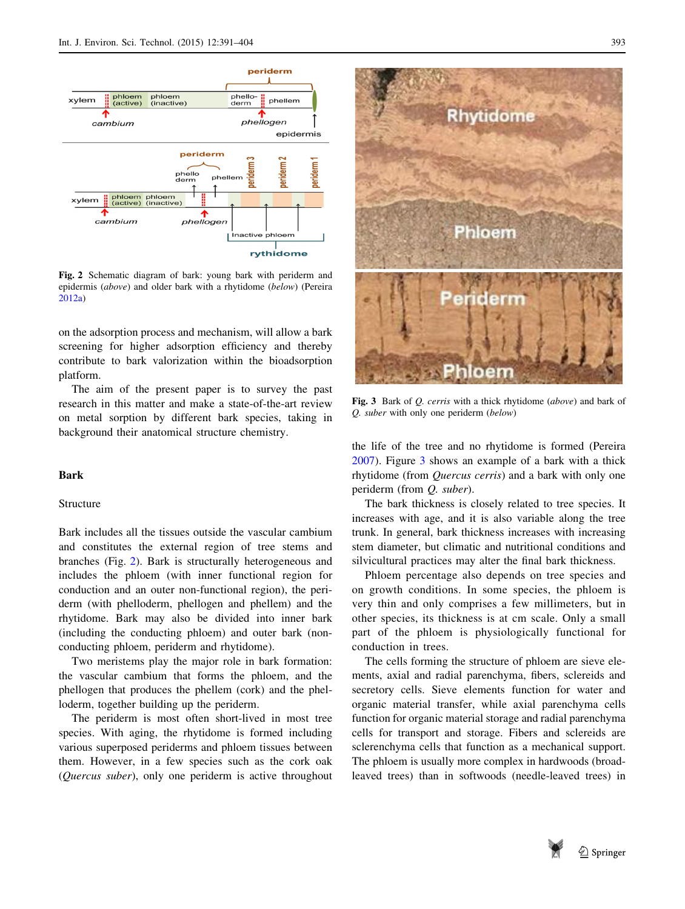

Fig. 2 Schematic diagram of bark: young bark with periderm and epidermis (above) and older bark with a rhytidome (below) (Pereira [2012a\)](#page-12-0)

on the adsorption process and mechanism, will allow a bark screening for higher adsorption efficiency and thereby contribute to bark valorization within the bioadsorption platform.

The aim of the present paper is to survey the past research in this matter and make a state-of-the-art review on metal sorption by different bark species, taking in background their anatomical structure chemistry.

# Bark

# Structure

Bark includes all the tissues outside the vascular cambium and constitutes the external region of tree stems and branches (Fig. 2). Bark is structurally heterogeneous and includes the phloem (with inner functional region for conduction and an outer non-functional region), the periderm (with phelloderm, phellogen and phellem) and the rhytidome. Bark may also be divided into inner bark (including the conducting phloem) and outer bark (nonconducting phloem, periderm and rhytidome).

Two meristems play the major role in bark formation: the vascular cambium that forms the phloem, and the phellogen that produces the phellem (cork) and the phelloderm, together building up the periderm.

The periderm is most often short-lived in most tree species. With aging, the rhytidome is formed including various superposed periderms and phloem tissues between them. However, in a few species such as the cork oak (Quercus suber), only one periderm is active throughout



Fig. 3 Bark of Q. cerris with a thick rhytidome (above) and bark of Q. suber with only one periderm (below)

the life of the tree and no rhytidome is formed (Pereira [2007](#page-12-0)). Figure 3 shows an example of a bark with a thick rhytidome (from Quercus cerris) and a bark with only one periderm (from Q. suber).

The bark thickness is closely related to tree species. It increases with age, and it is also variable along the tree trunk. In general, bark thickness increases with increasing stem diameter, but climatic and nutritional conditions and silvicultural practices may alter the final bark thickness.

Phloem percentage also depends on tree species and on growth conditions. In some species, the phloem is very thin and only comprises a few millimeters, but in other species, its thickness is at cm scale. Only a small part of the phloem is physiologically functional for conduction in trees.

The cells forming the structure of phloem are sieve elements, axial and radial parenchyma, fibers, sclereids and secretory cells. Sieve elements function for water and organic material transfer, while axial parenchyma cells function for organic material storage and radial parenchyma cells for transport and storage. Fibers and sclereids are sclerenchyma cells that function as a mechanical support. The phloem is usually more complex in hardwoods (broadleaved trees) than in softwoods (needle-leaved trees) in

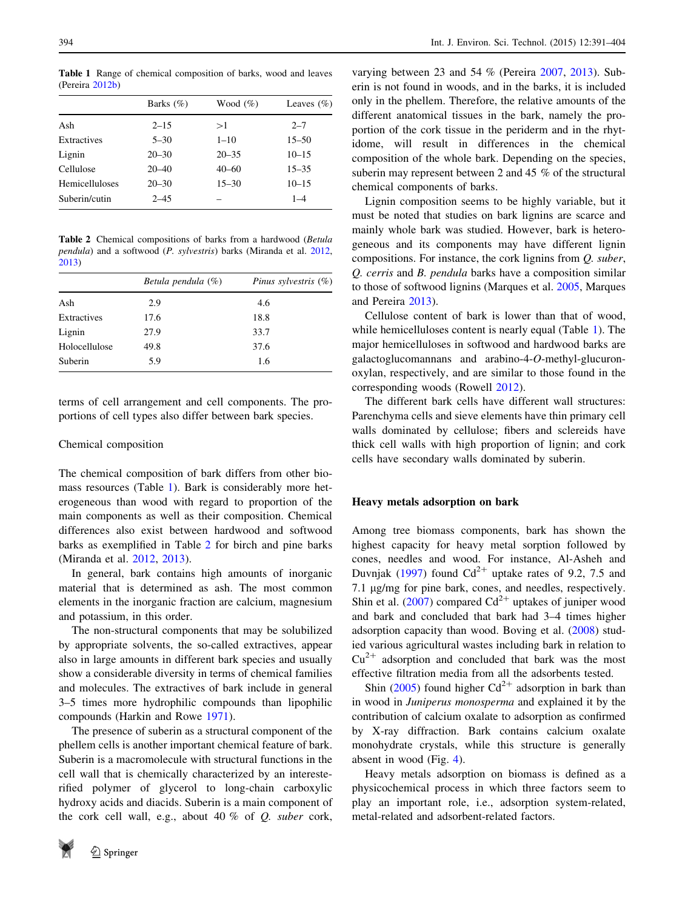Table 1 Range of chemical composition of barks, wood and leaves (Pereira [2012b\)](#page-12-0)

|                | Barks $(\%)$ | Wood $(\%)$ | Leaves $(\% )$ |  |  |
|----------------|--------------|-------------|----------------|--|--|
| Ash            | $2 - 15$     | >1          | $2 - 7$        |  |  |
| Extractives    | $5 - 30$     | $1 - 10$    | $15 - 50$      |  |  |
| Lignin         | $20 - 30$    | $20 - 35$   | $10 - 15$      |  |  |
| Cellulose      | $20 - 40$    | $40 - 60$   | $15 - 35$      |  |  |
| Hemicelluloses | $20 - 30$    | $15 - 30$   | $10 - 15$      |  |  |
| Suberin/cutin  | $2 - 45$     |             | $1 - 4$        |  |  |

Table 2 Chemical compositions of barks from a hardwood (Betula pendula) and a softwood (P. sylvestris) barks (Miranda et al. [2012](#page-12-0), [2013\)](#page-12-0)

|               | Betula pendula $(\%)$ | Pinus sylvestris $(\%)$ |  |  |  |
|---------------|-----------------------|-------------------------|--|--|--|
| Ash           | 2.9                   | 4.6                     |  |  |  |
| Extractives   | 17.6                  | 18.8                    |  |  |  |
| Lignin        | 27.9                  | 33.7                    |  |  |  |
| Holocellulose | 49.8                  | 37.6                    |  |  |  |
| Suberin       | 5.9                   | 1.6                     |  |  |  |

terms of cell arrangement and cell components. The proportions of cell types also differ between bark species.

#### Chemical composition

The chemical composition of bark differs from other biomass resources (Table 1). Bark is considerably more heterogeneous than wood with regard to proportion of the main components as well as their composition. Chemical differences also exist between hardwood and softwood barks as exemplified in Table 2 for birch and pine barks (Miranda et al. [2012](#page-12-0), [2013](#page-12-0)).

In general, bark contains high amounts of inorganic material that is determined as ash. The most common elements in the inorganic fraction are calcium, magnesium and potassium, in this order.

The non-structural components that may be solubilized by appropriate solvents, the so-called extractives, appear also in large amounts in different bark species and usually show a considerable diversity in terms of chemical families and molecules. The extractives of bark include in general 3–5 times more hydrophilic compounds than lipophilic compounds (Harkin and Rowe [1971](#page-11-0)).

The presence of suberin as a structural component of the phellem cells is another important chemical feature of bark. Suberin is a macromolecule with structural functions in the cell wall that is chemically characterized by an interesterified polymer of glycerol to long-chain carboxylic hydroxy acids and diacids. Suberin is a main component of the cork cell wall, e.g., about 40 % of  $Q$ . suber cork,



varying between 23 and 54 % (Pereira [2007,](#page-12-0) [2013\)](#page-12-0). Suberin is not found in woods, and in the barks, it is included only in the phellem. Therefore, the relative amounts of the different anatomical tissues in the bark, namely the proportion of the cork tissue in the periderm and in the rhytidome, will result in differences in the chemical composition of the whole bark. Depending on the species, suberin may represent between 2 and 45 % of the structural chemical components of barks.

Lignin composition seems to be highly variable, but it must be noted that studies on bark lignins are scarce and mainly whole bark was studied. However, bark is heterogeneous and its components may have different lignin compositions. For instance, the cork lignins from Q. suber, Q. cerris and B. pendula barks have a composition similar to those of softwood lignins (Marques et al. [2005](#page-12-0), Marques and Pereira [2013\)](#page-12-0).

Cellulose content of bark is lower than that of wood, while hemicelluloses content is nearly equal (Table 1). The major hemicelluloses in softwood and hardwood barks are galactoglucomannans and arabino-4-O-methyl-glucuronoxylan, respectively, and are similar to those found in the corresponding woods (Rowell [2012\)](#page-12-0).

The different bark cells have different wall structures: Parenchyma cells and sieve elements have thin primary cell walls dominated by cellulose; fibers and sclereids have thick cell walls with high proportion of lignin; and cork cells have secondary walls dominated by suberin.

#### Heavy metals adsorption on bark

Among tree biomass components, bark has shown the highest capacity for heavy metal sorption followed by cones, needles and wood. For instance, Al-Asheh and Duvnjak ([1997\)](#page-11-0) found  $Cd^{2+}$  uptake rates of 9.2, 7.5 and 7.1 µg/mg for pine bark, cones, and needles, respectively. Shin et al. [\(2007](#page-12-0)) compared  $Cd^{2+}$  uptakes of juniper wood and bark and concluded that bark had 3–4 times higher adsorption capacity than wood. Boving et al. ([2008\)](#page-11-0) studied various agricultural wastes including bark in relation to  $Cu<sup>2+</sup>$  adsorption and concluded that bark was the most effective filtration media from all the adsorbents tested.

Shin [\(2005](#page-12-0)) found higher  $Cd^{2+}$  adsorption in bark than in wood in Juniperus monosperma and explained it by the contribution of calcium oxalate to adsorption as confirmed by X-ray diffraction. Bark contains calcium oxalate monohydrate crystals, while this structure is generally absent in wood (Fig. [4](#page-4-0)).

Heavy metals adsorption on biomass is defined as a physicochemical process in which three factors seem to play an important role, i.e., adsorption system-related, metal-related and adsorbent-related factors.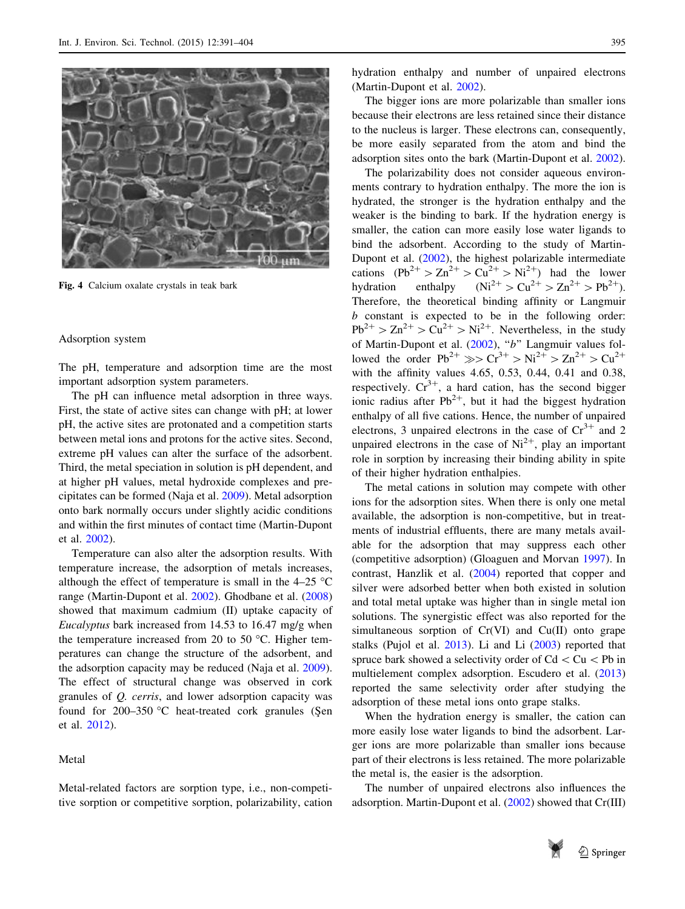<span id="page-4-0"></span>

Fig. 4 Calcium oxalate crystals in teak bark

#### Adsorption system

The pH, temperature and adsorption time are the most important adsorption system parameters.

The pH can influence metal adsorption in three ways. First, the state of active sites can change with pH; at lower pH, the active sites are protonated and a competition starts between metal ions and protons for the active sites. Second, extreme pH values can alter the surface of the adsorbent. Third, the metal speciation in solution is pH dependent, and at higher pH values, metal hydroxide complexes and precipitates can be formed (Naja et al. [2009\)](#page-12-0). Metal adsorption onto bark normally occurs under slightly acidic conditions and within the first minutes of contact time (Martin-Dupont et al. [2002\)](#page-12-0).

Temperature can also alter the adsorption results. With temperature increase, the adsorption of metals increases, although the effect of temperature is small in the  $4-25$  °C range (Martin-Dupont et al. [2002](#page-12-0)). Ghodbane et al. ([2008\)](#page-11-0) showed that maximum cadmium (II) uptake capacity of Eucalyptus bark increased from 14.53 to 16.47 mg/g when the temperature increased from 20 to 50  $^{\circ}$ C. Higher temperatures can change the structure of the adsorbent, and the adsorption capacity may be reduced (Naja et al. [2009](#page-12-0)). The effect of structural change was observed in cork granules of Q. cerris, and lower adsorption capacity was found for  $200-350$  °C heat-treated cork granules (Sen et al. [2012\)](#page-12-0).

#### Metal

Metal-related factors are sorption type, i.e., non-competitive sorption or competitive sorption, polarizability, cation

hydration enthalpy and number of unpaired electrons (Martin-Dupont et al. [2002\)](#page-12-0).

The bigger ions are more polarizable than smaller ions because their electrons are less retained since their distance to the nucleus is larger. These electrons can, consequently, be more easily separated from the atom and bind the adsorption sites onto the bark (Martin-Dupont et al. [2002](#page-12-0)).

The polarizability does not consider aqueous environments contrary to hydration enthalpy. The more the ion is hydrated, the stronger is the hydration enthalpy and the weaker is the binding to bark. If the hydration energy is smaller, the cation can more easily lose water ligands to bind the adsorbent. According to the study of Martin-Dupont et al. ([2002\)](#page-12-0), the highest polarizable intermediate cations  $(Pb^{2+} > Zn^{2+} > Cu^{2+} > Ni^{2+})$  had the lower hydration enthalpy  $(Ni^{2+} > Cu^{2+} > Zn^{2+} > Pb^{2+}).$ Therefore, the theoretical binding affinity or Langmuir  $b$  constant is expected to be in the following order:  $Pb^{2+} > Zn^{2+} > Cu^{2+} > Ni^{2+}$ . Nevertheless, in the study of Martin-Dupont et al. [\(2002](#page-12-0)), "b" Langmuir values followed the order  $Pb^{2+} \gg Cr^{3+} > Ni^{2+} > Zn^{2+} > Cu^{2+}$ with the affinity values 4.65, 0.53, 0.44, 0.41 and 0.38, respectively.  $Cr^{3+}$ , a hard cation, has the second bigger ionic radius after  $Pb^{2+}$ , but it had the biggest hydration enthalpy of all five cations. Hence, the number of unpaired electrons, 3 unpaired electrons in the case of  $Cr^{3+}$  and 2 unpaired electrons in the case of  $Ni^{2+}$ , play an important role in sorption by increasing their binding ability in spite of their higher hydration enthalpies.

The metal cations in solution may compete with other ions for the adsorption sites. When there is only one metal available, the adsorption is non-competitive, but in treatments of industrial effluents, there are many metals available for the adsorption that may suppress each other (competitive adsorption) (Gloaguen and Morvan [1997\)](#page-11-0). In contrast, Hanzlik et al. ([2004\)](#page-11-0) reported that copper and silver were adsorbed better when both existed in solution and total metal uptake was higher than in single metal ion solutions. The synergistic effect was also reported for the simultaneous sorption of Cr(VI) and Cu(II) onto grape stalks (Pujol et al. [2013\)](#page-12-0). Li and Li [\(2003](#page-11-0)) reported that spruce bark showed a selectivity order of  $Cd < Cu < Pb$  in multielement complex adsorption. Escudero et al. ([2013\)](#page-11-0) reported the same selectivity order after studying the adsorption of these metal ions onto grape stalks.

When the hydration energy is smaller, the cation can more easily lose water ligands to bind the adsorbent. Larger ions are more polarizable than smaller ions because part of their electrons is less retained. The more polarizable the metal is, the easier is the adsorption.

The number of unpaired electrons also influences the adsorption. Martin-Dupont et al. [\(2002](#page-12-0)) showed that Cr(III)

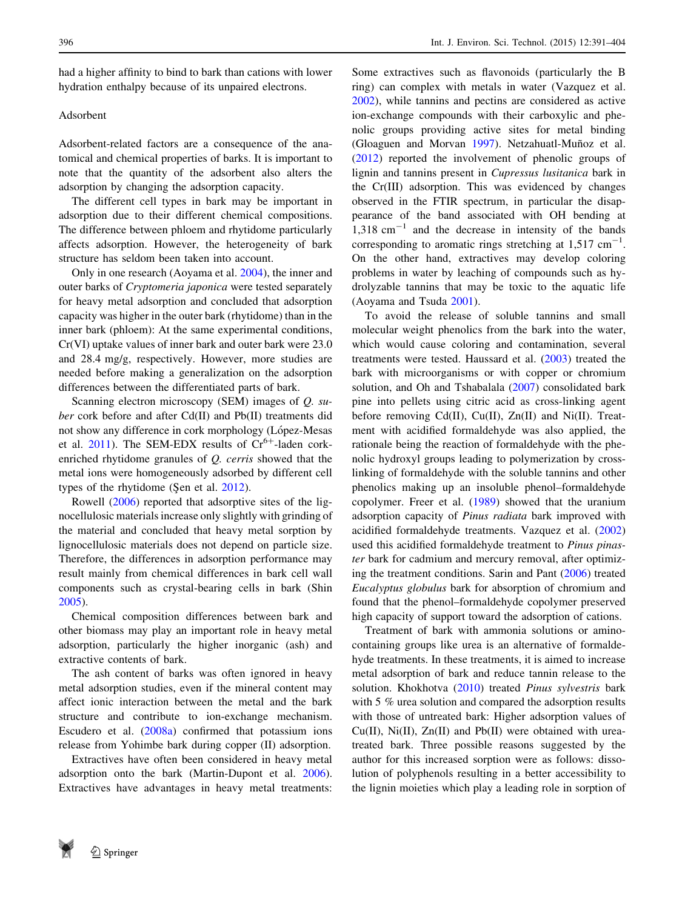had a higher affinity to bind to bark than cations with lower hydration enthalpy because of its unpaired electrons.

# Adsorbent

Adsorbent-related factors are a consequence of the anatomical and chemical properties of barks. It is important to note that the quantity of the adsorbent also alters the adsorption by changing the adsorption capacity.

The different cell types in bark may be important in adsorption due to their different chemical compositions. The difference between phloem and rhytidome particularly affects adsorption. However, the heterogeneity of bark structure has seldom been taken into account.

Only in one research (Aoyama et al. [2004\)](#page-11-0), the inner and outer barks of Cryptomeria japonica were tested separately for heavy metal adsorption and concluded that adsorption capacity was higher in the outer bark (rhytidome) than in the inner bark (phloem): At the same experimental conditions, Cr(VI) uptake values of inner bark and outer bark were 23.0 and 28.4 mg/g, respectively. However, more studies are needed before making a generalization on the adsorption differences between the differentiated parts of bark.

Scanning electron microscopy (SEM) images of Q. suber cork before and after Cd(II) and Pb(II) treatments did not show any difference in cork morphology (López-Mesas et al.  $2011$ ). The SEM-EDX results of  $Cr^{6+}$ -laden corkenriched rhytidome granules of Q. cerris showed that the metal ions were homogeneously adsorbed by different cell types of the rhytidome (Sen et al.  $2012$ ).

Rowell [\(2006](#page-12-0)) reported that adsorptive sites of the lignocellulosic materials increase only slightly with grinding of the material and concluded that heavy metal sorption by lignocellulosic materials does not depend on particle size. Therefore, the differences in adsorption performance may result mainly from chemical differences in bark cell wall components such as crystal-bearing cells in bark (Shin [2005\)](#page-12-0).

Chemical composition differences between bark and other biomass may play an important role in heavy metal adsorption, particularly the higher inorganic (ash) and extractive contents of bark.

The ash content of barks was often ignored in heavy metal adsorption studies, even if the mineral content may affect ionic interaction between the metal and the bark structure and contribute to ion-exchange mechanism. Escudero et al. ([2008a](#page-11-0)) confirmed that potassium ions release from Yohimbe bark during copper (II) adsorption.

Extractives have often been considered in heavy metal adsorption onto the bark (Martin-Dupont et al. [2006](#page-12-0)). Extractives have advantages in heavy metal treatments: Some extractives such as flavonoids (particularly the B ring) can complex with metals in water (Vazquez et al. [2002](#page-12-0)), while tannins and pectins are considered as active ion-exchange compounds with their carboxylic and phenolic groups providing active sites for metal binding (Gloaguen and Morvan [1997](#page-11-0)). Netzahuatl-Muñoz et al. [\(2012](#page-12-0)) reported the involvement of phenolic groups of lignin and tannins present in Cupressus lusitanica bark in the Cr(III) adsorption. This was evidenced by changes observed in the FTIR spectrum, in particular the disappearance of the band associated with OH bending at  $1,318$  cm<sup>-1</sup> and the decrease in intensity of the bands corresponding to aromatic rings stretching at  $1,517$  cm<sup>-1</sup>. On the other hand, extractives may develop coloring problems in water by leaching of compounds such as hydrolyzable tannins that may be toxic to the aquatic life (Aoyama and Tsuda [2001](#page-11-0)).

To avoid the release of soluble tannins and small molecular weight phenolics from the bark into the water, which would cause coloring and contamination, several treatments were tested. Haussard et al. ([2003\)](#page-11-0) treated the bark with microorganisms or with copper or chromium solution, and Oh and Tshabalala ([2007\)](#page-12-0) consolidated bark pine into pellets using citric acid as cross-linking agent before removing Cd(II), Cu(II), Zn(II) and Ni(II). Treatment with acidified formaldehyde was also applied, the rationale being the reaction of formaldehyde with the phenolic hydroxyl groups leading to polymerization by crosslinking of formaldehyde with the soluble tannins and other phenolics making up an insoluble phenol–formaldehyde copolymer. Freer et al. [\(1989](#page-11-0)) showed that the uranium adsorption capacity of Pinus radiata bark improved with acidified formaldehyde treatments. Vazquez et al. ([2002\)](#page-12-0) used this acidified formaldehyde treatment to Pinus pinaster bark for cadmium and mercury removal, after optimizing the treatment conditions. Sarin and Pant ([2006\)](#page-12-0) treated Eucalyptus globulus bark for absorption of chromium and found that the phenol–formaldehyde copolymer preserved high capacity of support toward the adsorption of cations.

Treatment of bark with ammonia solutions or aminocontaining groups like urea is an alternative of formaldehyde treatments. In these treatments, it is aimed to increase metal adsorption of bark and reduce tannin release to the solution. Khokhotva ([2010\)](#page-11-0) treated Pinus sylvestris bark with 5 % urea solution and compared the adsorption results with those of untreated bark: Higher adsorption values of  $Cu(II)$ ,  $Ni(II)$ ,  $Zn(II)$  and  $Pb(II)$  were obtained with ureatreated bark. Three possible reasons suggested by the author for this increased sorption were as follows: dissolution of polyphenols resulting in a better accessibility to the lignin moieties which play a leading role in sorption of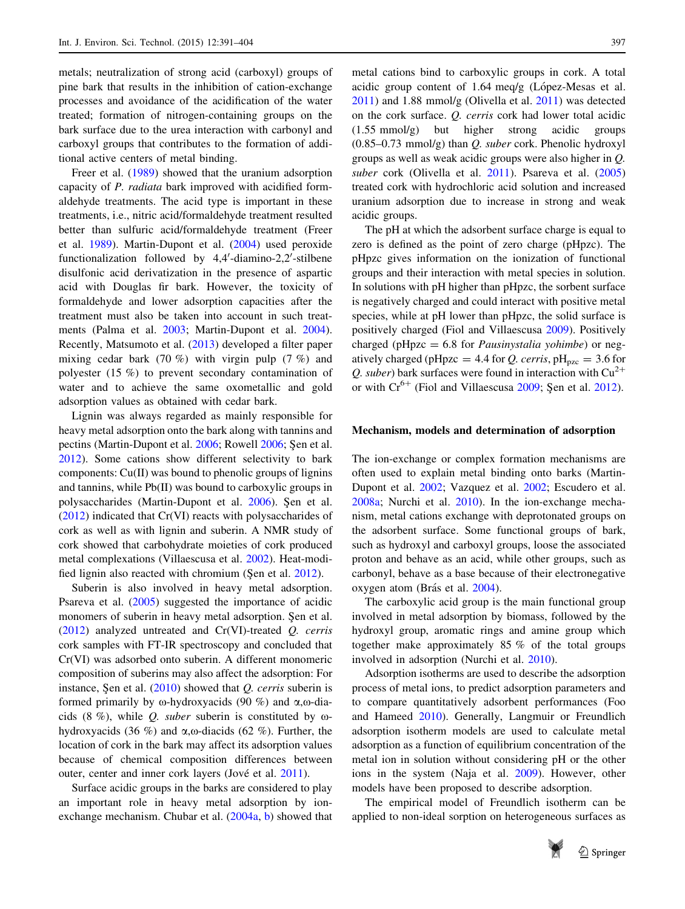metals; neutralization of strong acid (carboxyl) groups of pine bark that results in the inhibition of cation-exchange processes and avoidance of the acidification of the water treated; formation of nitrogen-containing groups on the bark surface due to the urea interaction with carbonyl and carboxyl groups that contributes to the formation of additional active centers of metal binding.

Freer et al. ([1989\)](#page-11-0) showed that the uranium adsorption capacity of P. radiata bark improved with acidified formaldehyde treatments. The acid type is important in these treatments, i.e., nitric acid/formaldehyde treatment resulted better than sulfuric acid/formaldehyde treatment (Freer et al. [1989](#page-11-0)). Martin-Dupont et al. [\(2004](#page-12-0)) used peroxide functionalization followed by 4,4'-diamino-2,2'-stilbene disulfonic acid derivatization in the presence of aspartic acid with Douglas fir bark. However, the toxicity of formaldehyde and lower adsorption capacities after the treatment must also be taken into account in such treatments (Palma et al. [2003;](#page-12-0) Martin-Dupont et al. [2004](#page-12-0)). Recently, Matsumoto et al. [\(2013](#page-12-0)) developed a filter paper mixing cedar bark (70 %) with virgin pulp (7 %) and polyester (15 %) to prevent secondary contamination of water and to achieve the same oxometallic and gold adsorption values as obtained with cedar bark.

Lignin was always regarded as mainly responsible for heavy metal adsorption onto the bark along with tannins and pectins (Martin-Dupont et al. [2006](#page-12-0); Rowell [2006;](#page-12-0) Şen et al. [2012\)](#page-12-0). Some cations show different selectivity to bark components: Cu(II) was bound to phenolic groups of lignins and tannins, while Pb(II) was bound to carboxylic groups in polysaccharides (Martin-Dupont et al. [2006\)](#page-12-0). Sen et al. [\(2012](#page-12-0)) indicated that Cr(VI) reacts with polysaccharides of cork as well as with lignin and suberin. A NMR study of cork showed that carbohydrate moieties of cork produced metal complexations (Villaescusa et al. [2002](#page-13-0)). Heat-modi-fied lignin also reacted with chromium (Şen et al. [2012](#page-12-0)).

Suberin is also involved in heavy metal adsorption. Psareva et al. [\(2005](#page-12-0)) suggested the importance of acidic monomers of suberin in heavy metal adsorption. Sen et al. [\(2012](#page-12-0)) analyzed untreated and  $Cr(VI)$ -treated  $Q$ . cerris cork samples with FT-IR spectroscopy and concluded that Cr(VI) was adsorbed onto suberin. A different monomeric composition of suberins may also affect the adsorption: For instance, Şen et al.  $(2010)$  $(2010)$  showed that Q. cerris suberin is formed primarily by  $\omega$ -hydroxyacids (90 %) and  $\alpha$ , $\omega$ -diacids (8 %), while *Q. suber* suberin is constituted by  $\omega$ hydroxyacids (36 %) and  $\alpha$ , $\omega$ -diacids (62 %). Further, the location of cork in the bark may affect its adsorption values because of chemical composition differences between outer, center and inner cork layers (Jové et al. [2011\)](#page-11-0).

Surface acidic groups in the barks are considered to play an important role in heavy metal adsorption by ion-exchange mechanism. Chubar et al. [\(2004a,](#page-11-0) [b\)](#page-11-0) showed that metal cations bind to carboxylic groups in cork. A total acidic group content of 1.64 meq/g (López-Mesas et al. [2011](#page-11-0)) and 1.88 mmol/g (Olivella et al. [2011](#page-12-0)) was detected on the cork surface. Q. cerris cork had lower total acidic (1.55 mmol/g) but higher strong acidic groups (0.85–0.73 mmol/g) than Q. suber cork. Phenolic hydroxyl groups as well as weak acidic groups were also higher in Q. suber cork (Olivella et al. [2011\)](#page-12-0). Psareva et al. ([2005\)](#page-12-0) treated cork with hydrochloric acid solution and increased uranium adsorption due to increase in strong and weak acidic groups.

The pH at which the adsorbent surface charge is equal to zero is defined as the point of zero charge (pHpzc). The pHpzc gives information on the ionization of functional groups and their interaction with metal species in solution. In solutions with pH higher than pHpzc, the sorbent surface is negatively charged and could interact with positive metal species, while at pH lower than pHpzc, the solid surface is positively charged (Fiol and Villaescusa [2009\)](#page-11-0). Positively charged (pHpzc  $= 6.8$  for *Pausinystalia yohimbe*) or negatively charged (pHpzc = 4.4 for Q. cerris, pH<sub>pzc</sub> = 3.6 for Q. suber) bark surfaces were found in interaction with  $Cu^{2+}$ or with  $Cr^{6+}$  (Fiol and Villaescusa [2009;](#page-11-0) Sen et al. [2012\)](#page-12-0).

## Mechanism, models and determination of adsorption

The ion-exchange or complex formation mechanisms are often used to explain metal binding onto barks (Martin-Dupont et al. [2002;](#page-12-0) Vazquez et al. [2002](#page-12-0); Escudero et al. [2008a;](#page-11-0) Nurchi et al. [2010](#page-12-0)). In the ion-exchange mechanism, metal cations exchange with deprotonated groups on the adsorbent surface. Some functional groups of bark, such as hydroxyl and carboxyl groups, loose the associated proton and behave as an acid, while other groups, such as carbonyl, behave as a base because of their electronegative oxygen atom (Brás et al. [2004\)](#page-11-0).

The carboxylic acid group is the main functional group involved in metal adsorption by biomass, followed by the hydroxyl group, aromatic rings and amine group which together make approximately 85 % of the total groups involved in adsorption (Nurchi et al. [2010](#page-12-0)).

Adsorption isotherms are used to describe the adsorption process of metal ions, to predict adsorption parameters and to compare quantitatively adsorbent performances (Foo and Hameed [2010](#page-11-0)). Generally, Langmuir or Freundlich adsorption isotherm models are used to calculate metal adsorption as a function of equilibrium concentration of the metal ion in solution without considering pH or the other ions in the system (Naja et al. [2009\)](#page-12-0). However, other models have been proposed to describe adsorption.

The empirical model of Freundlich isotherm can be applied to non-ideal sorption on heterogeneous surfaces as

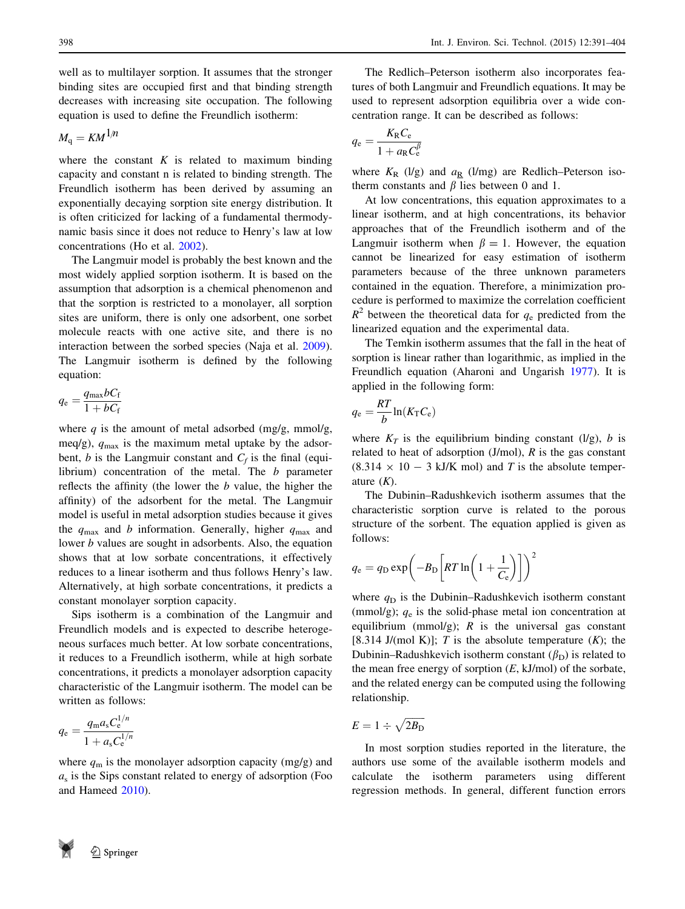well as to multilayer sorption. It assumes that the stronger binding sites are occupied first and that binding strength decreases with increasing site occupation. The following equation is used to define the Freundlich isotherm:

$$
M_{\rm q} = K M^{1/n}
$$

where the constant  $K$  is related to maximum binding capacity and constant n is related to binding strength. The Freundlich isotherm has been derived by assuming an exponentially decaying sorption site energy distribution. It is often criticized for lacking of a fundamental thermodynamic basis since it does not reduce to Henry's law at low concentrations (Ho et al. [2002](#page-11-0)).

The Langmuir model is probably the best known and the most widely applied sorption isotherm. It is based on the assumption that adsorption is a chemical phenomenon and that the sorption is restricted to a monolayer, all sorption sites are uniform, there is only one adsorbent, one sorbet molecule reacts with one active site, and there is no interaction between the sorbed species (Naja et al. [2009](#page-12-0)). The Langmuir isotherm is defined by the following equation:

$$
q_{\rm e} = \frac{q_{\rm max}bC_{\rm f}}{1 + bC_{\rm f}}
$$

where q is the amount of metal adsorbed (mg/g, mmol/g, meq/g),  $q_{\text{max}}$  is the maximum metal uptake by the adsorbent, b is the Langmuir constant and  $C_f$  is the final (equilibrium) concentration of the metal. The  $b$  parameter reflects the affinity (the lower the  $b$  value, the higher the affinity) of the adsorbent for the metal. The Langmuir model is useful in metal adsorption studies because it gives the  $q_{\text{max}}$  and b information. Generally, higher  $q_{\text{max}}$  and lower *b* values are sought in adsorbents. Also, the equation shows that at low sorbate concentrations, it effectively reduces to a linear isotherm and thus follows Henry's law. Alternatively, at high sorbate concentrations, it predicts a constant monolayer sorption capacity.

Sips isotherm is a combination of the Langmuir and Freundlich models and is expected to describe heterogeneous surfaces much better. At low sorbate concentrations, it reduces to a Freundlich isotherm, while at high sorbate concentrations, it predicts a monolayer adsorption capacity characteristic of the Langmuir isotherm. The model can be written as follows:

$$
q_{e} = \frac{q_{\rm m} a_{\rm s} C_{\rm e}^{1/n}}{1 + a_{\rm s} C_{\rm e}^{1/n}}
$$

where  $q_m$  is the monolayer adsorption capacity (mg/g) and  $a<sub>s</sub>$  is the Sips constant related to energy of adsorption (Foo and Hameed [2010](#page-11-0)).

The Redlich–Peterson isotherm also incorporates features of both Langmuir and Freundlich equations. It may be used to represent adsorption equilibria over a wide concentration range. It can be described as follows:

$$
q_{\rm e} = \frac{K_{\rm R} C_{\rm e}}{1 + a_{\rm R} C_{\rm e}^{\beta}}
$$

where  $K_R$  (l/g) and  $a_R$  (l/mg) are Redlich–Peterson isotherm constants and  $\beta$  lies between 0 and 1.

At low concentrations, this equation approximates to a linear isotherm, and at high concentrations, its behavior approaches that of the Freundlich isotherm and of the Langmuir isotherm when  $\beta = 1$ . However, the equation cannot be linearized for easy estimation of isotherm parameters because of the three unknown parameters contained in the equation. Therefore, a minimization procedure is performed to maximize the correlation coefficient  $R^2$  between the theoretical data for  $q_e$  predicted from the linearized equation and the experimental data.

The Temkin isotherm assumes that the fall in the heat of sorption is linear rather than logarithmic, as implied in the Freundlich equation (Aharoni and Ungarish [1977\)](#page-11-0). It is applied in the following form:

$$
q_{\rm e} = \frac{RT}{b} \ln(K_{\rm T} C_{\rm e})
$$

where  $K_T$  is the equilibrium binding constant (l/g), b is related to heat of adsorption  $(J/mol)$ ,  $R$  is the gas constant  $(8.314 \times 10 - 3 \text{ kJ/K} \text{ mol})$  and T is the absolute temperature  $(K)$ .

The Dubinin–Radushkevich isotherm assumes that the characteristic sorption curve is related to the porous structure of the sorbent. The equation applied is given as follows:

$$
q_{\rm e} = q_{\rm D} \exp\biggl(-B_{\rm D} \biggl[ RT \ln\biggl(1 + \frac{1}{C_{\rm e}}\biggr)\biggr]\biggr)^2
$$

where  $q_D$  is the Dubinin–Radushkevich isotherm constant (mmol/g);  $q_e$  is the solid-phase metal ion concentration at equilibrium (mmol/g);  $R$  is the universal gas constant [8.314 J/(mol K)]; T is the absolute temperature  $(K)$ ; the Dubinin–Radushkevich isotherm constant  $(\beta_D)$  is related to the mean free energy of sorption  $(E, kJ/mol)$  of the sorbate, and the related energy can be computed using the following relationship.

$$
E=1\div\sqrt{2B_{\rm D}}
$$

In most sorption studies reported in the literature, the authors use some of the available isotherm models and calculate the isotherm parameters using different regression methods. In general, different function errors

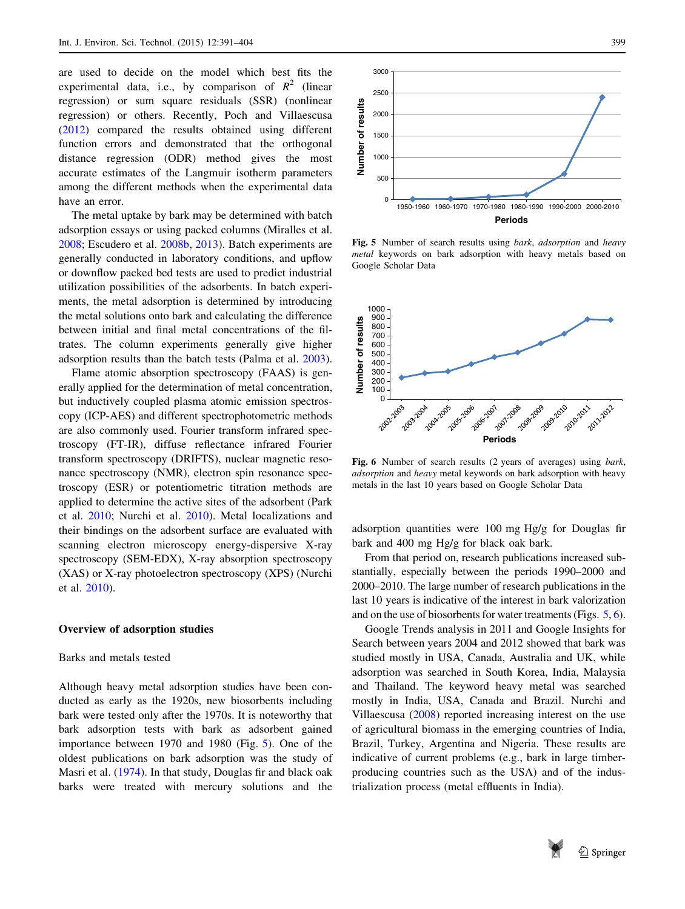are used to decide on the model which best fits the experimental data, i.e., by comparison of  $R^2$  (linear regression) or sum square residuals (SSR) (nonlinear regression) or others. Recently, Poch and Villaescusa [\(2012](#page-12-0)) compared the results obtained using different function errors and demonstrated that the orthogonal distance regression (ODR) method gives the most accurate estimates of the Langmuir isotherm parameters among the different methods when the experimental data have an error.

The metal uptake by bark may be determined with batch adsorption essays or using packed columns (Miralles et al. [2008;](#page-12-0) Escudero et al. [2008b,](#page-11-0) [2013\)](#page-11-0). Batch experiments are generally conducted in laboratory conditions, and upflow or downflow packed bed tests are used to predict industrial utilization possibilities of the adsorbents. In batch experiments, the metal adsorption is determined by introducing the metal solutions onto bark and calculating the difference between initial and final metal concentrations of the filtrates. The column experiments generally give higher adsorption results than the batch tests (Palma et al. [2003](#page-12-0)).

Flame atomic absorption spectroscopy (FAAS) is generally applied for the determination of metal concentration, but inductively coupled plasma atomic emission spectroscopy (ICP-AES) and different spectrophotometric methods are also commonly used. Fourier transform infrared spectroscopy (FT-IR), diffuse reflectance infrared Fourier transform spectroscopy (DRIFTS), nuclear magnetic resonance spectroscopy (NMR), electron spin resonance spectroscopy (ESR) or potentiometric titration methods are applied to determine the active sites of the adsorbent (Park et al. [2010;](#page-12-0) Nurchi et al. [2010\)](#page-12-0). Metal localizations and their bindings on the adsorbent surface are evaluated with scanning electron microscopy energy-dispersive X-ray spectroscopy (SEM-EDX), X-ray absorption spectroscopy (XAS) or X-ray photoelectron spectroscopy (XPS) (Nurchi et al. [2010\)](#page-12-0).

#### Overview of adsorption studies

# Barks and metals tested

Although heavy metal adsorption studies have been conducted as early as the 1920s, new biosorbents including bark were tested only after the 1970s. It is noteworthy that bark adsorption tests with bark as adsorbent gained importance between 1970 and 1980 (Fig. 5). One of the oldest publications on bark adsorption was the study of Masri et al. [\(1974](#page-12-0)). In that study, Douglas fir and black oak barks were treated with mercury solutions and the





Fig. 5 Number of search results using *bark, adsorption* and *heavy* metal keywords on bark adsorption with heavy metals based on Google Scholar Data



Fig. 6 Number of search results (2 years of averages) using bark, adsorption and heavy metal keywords on bark adsorption with heavy metals in the last 10 years based on Google Scholar Data

adsorption quantities were 100 mg Hg/g for Douglas fir bark and 400 mg Hg/g for black oak bark.

From that period on, research publications increased substantially, especially between the periods 1990–2000 and 2000–2010. The large number of research publications in the last 10 years is indicative of the interest in bark valorization and on the use of biosorbents for water treatments (Figs. 5, 6).

Google Trends analysis in 2011 and Google Insights for Search between years 2004 and 2012 showed that bark was studied mostly in USA, Canada, Australia and UK, while adsorption was searched in South Korea, India, Malaysia and Thailand. The keyword heavy metal was searched mostly in India, USA, Canada and Brazil. Nurchi and Villaescusa [\(2008](#page-12-0)) reported increasing interest on the use of agricultural biomass in the emerging countries of India, Brazil, Turkey, Argentina and Nigeria. These results are indicative of current problems (e.g., bark in large timberproducing countries such as the USA) and of the industrialization process (metal effluents in India).

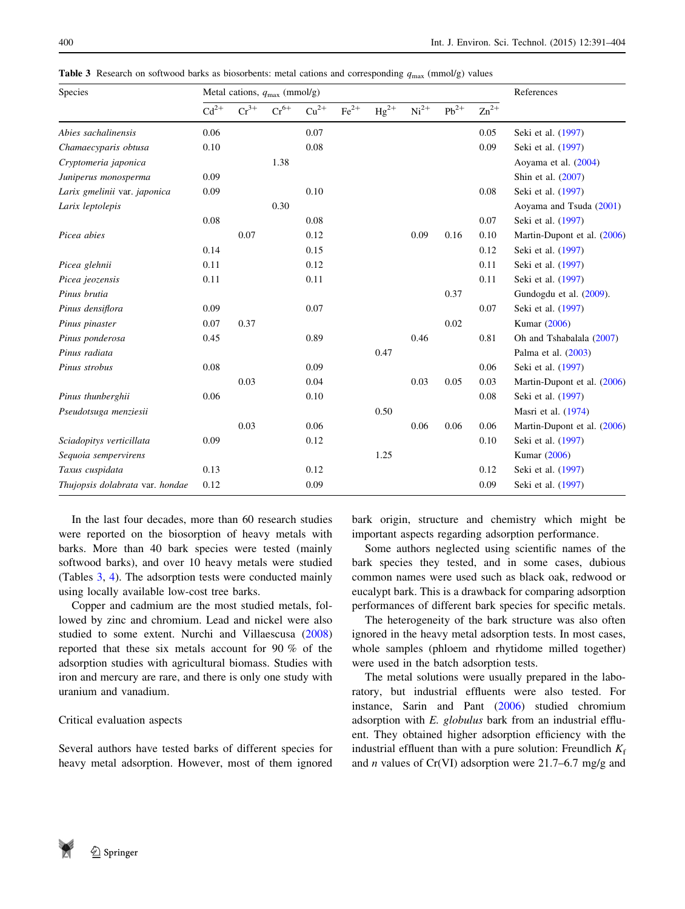<span id="page-9-0"></span>

| Table 3 Research on softwood barks as biosorbents: metal cations and corresponding $q_{\text{max}}$ (mmol/g) values |  |
|---------------------------------------------------------------------------------------------------------------------|--|
|---------------------------------------------------------------------------------------------------------------------|--|

| Species                         | Metal cations, $q_{\text{max}}$ (mmol/g) |                    |                    |                    |                  |           |        |                    |           | References                  |
|---------------------------------|------------------------------------------|--------------------|--------------------|--------------------|------------------|-----------|--------|--------------------|-----------|-----------------------------|
|                                 | $\mathrm{Cd}^{2+}$                       | $\mathrm{Cr^{3+}}$ | $\mathrm{Cr}^{6+}$ | $\mathrm{Cu}^{2+}$ | $\mbox{Fe}^{2+}$ | $Hg^{2+}$ | $Ni2+$ | $\mathrm{Pb}^{2+}$ | $Zn^{2+}$ |                             |
| Abies sachalinensis             | 0.06                                     |                    |                    | 0.07               |                  |           |        |                    | 0.05      | Seki et al. (1997)          |
| Chamaecyparis obtusa            | 0.10                                     |                    |                    | 0.08               |                  |           |        |                    | 0.09      | Seki et al. (1997)          |
| Cryptomeria japonica            |                                          |                    | 1.38               |                    |                  |           |        |                    |           | Aoyama et al. $(2004)$      |
| Juniperus monosperma            | 0.09                                     |                    |                    |                    |                  |           |        |                    |           | Shin et al. (2007)          |
| Larix gmelinii var. japonica    | 0.09                                     |                    |                    | 0.10               |                  |           |        |                    | 0.08      | Seki et al. (1997)          |
| Larix leptolepis                |                                          |                    | 0.30               |                    |                  |           |        |                    |           | Aoyama and Tsuda (2001)     |
|                                 | 0.08                                     |                    |                    | 0.08               |                  |           |        |                    | 0.07      | Seki et al. (1997)          |
| Picea abies                     |                                          | 0.07               |                    | 0.12               |                  |           | 0.09   | 0.16               | 0.10      | Martin-Dupont et al. (2006) |
|                                 | 0.14                                     |                    |                    | 0.15               |                  |           |        |                    | 0.12      | Seki et al. (1997)          |
| Picea glehnii                   | 0.11                                     |                    |                    | 0.12               |                  |           |        |                    | 0.11      | Seki et al. (1997)          |
| Picea jeozensis                 | 0.11                                     |                    |                    | 0.11               |                  |           |        |                    | 0.11      | Seki et al. (1997)          |
| Pinus brutia                    |                                          |                    |                    |                    |                  |           |        | 0.37               |           | Gundogdu et al. (2009).     |
| Pinus densiflora                | 0.09                                     |                    |                    | 0.07               |                  |           |        |                    | 0.07      | Seki et al. (1997)          |
| Pinus pinaster                  | 0.07                                     | 0.37               |                    |                    |                  |           |        | 0.02               |           | Kumar (2006)                |
| Pinus ponderosa                 | 0.45                                     |                    |                    | 0.89               |                  |           | 0.46   |                    | 0.81      | Oh and Tshabalala (2007)    |
| Pinus radiata                   |                                          |                    |                    |                    |                  | 0.47      |        |                    |           | Palma et al. (2003)         |
| Pinus strobus                   | 0.08                                     |                    |                    | 0.09               |                  |           |        |                    | 0.06      | Seki et al. (1997)          |
|                                 |                                          | 0.03               |                    | 0.04               |                  |           | 0.03   | 0.05               | 0.03      | Martin-Dupont et al. (2006) |
| Pinus thunberghii               | 0.06                                     |                    |                    | 0.10               |                  |           |        |                    | 0.08      | Seki et al. (1997)          |
| Pseudotsuga menziesii           |                                          |                    |                    |                    |                  | 0.50      |        |                    |           | Masri et al. (1974)         |
|                                 |                                          | 0.03               |                    | 0.06               |                  |           | 0.06   | 0.06               | 0.06      | Martin-Dupont et al. (2006) |
| Sciadopitys verticillata        | 0.09                                     |                    |                    | 0.12               |                  |           |        |                    | 0.10      | Seki et al. (1997)          |
| Sequoia sempervirens            |                                          |                    |                    |                    |                  | 1.25      |        |                    |           | Kumar (2006)                |
| Taxus cuspidata                 | 0.13                                     |                    |                    | 0.12               |                  |           |        |                    | 0.12      | Seki et al. (1997)          |
| Thujopsis dolabrata var. hondae | 0.12                                     |                    |                    | 0.09               |                  |           |        |                    | 0.09      | Seki et al. (1997)          |

In the last four decades, more than 60 research studies were reported on the biosorption of heavy metals with barks. More than 40 bark species were tested (mainly softwood barks), and over 10 heavy metals were studied (Tables 3, [4](#page-10-0)). The adsorption tests were conducted mainly using locally available low-cost tree barks.

Copper and cadmium are the most studied metals, followed by zinc and chromium. Lead and nickel were also studied to some extent. Nurchi and Villaescusa ([2008\)](#page-12-0) reported that these six metals account for 90 % of the adsorption studies with agricultural biomass. Studies with iron and mercury are rare, and there is only one study with uranium and vanadium.

# Critical evaluation aspects

Several authors have tested barks of different species for heavy metal adsorption. However, most of them ignored bark origin, structure and chemistry which might be important aspects regarding adsorption performance.

Some authors neglected using scientific names of the bark species they tested, and in some cases, dubious common names were used such as black oak, redwood or eucalypt bark. This is a drawback for comparing adsorption performances of different bark species for specific metals.

The heterogeneity of the bark structure was also often ignored in the heavy metal adsorption tests. In most cases, whole samples (phloem and rhytidome milled together) were used in the batch adsorption tests.

The metal solutions were usually prepared in the laboratory, but industrial effluents were also tested. For instance, Sarin and Pant [\(2006](#page-12-0)) studied chromium adsorption with E. globulus bark from an industrial effluent. They obtained higher adsorption efficiency with the industrial effluent than with a pure solution: Freundlich  $K_f$ and *n* values of Cr(VI) adsorption were  $21.7-6.7$  mg/g and

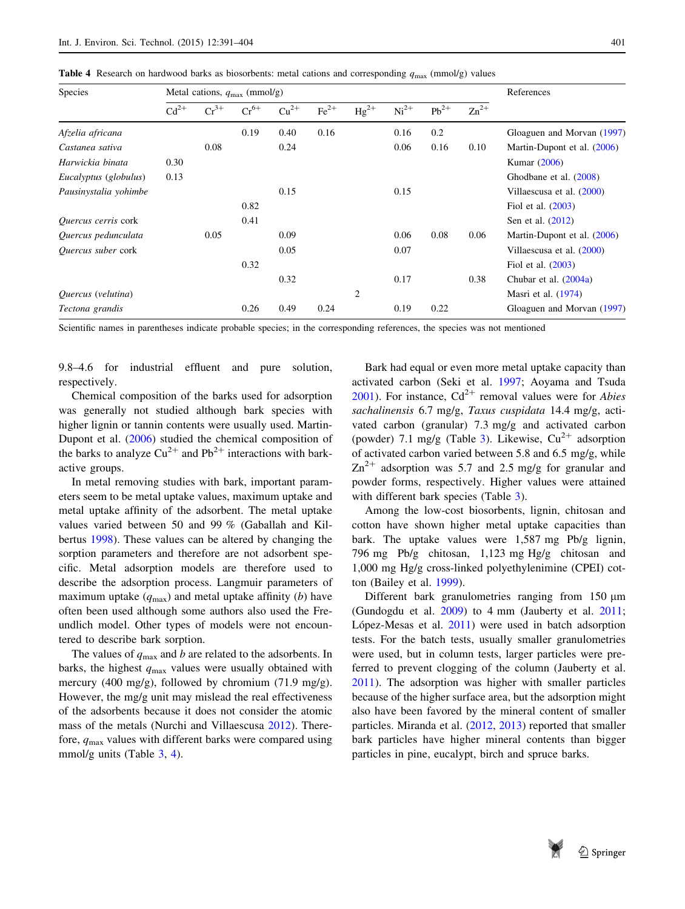| Species               | Metal cations, $q_{\text{max}}$ (mmol/g) |           |           |        |        |                |        |           |           | References                  |
|-----------------------|------------------------------------------|-----------|-----------|--------|--------|----------------|--------|-----------|-----------|-----------------------------|
|                       | $Cd^{2+}$                                | $Cr^{3+}$ | $Cr^{6+}$ | $Cu2+$ | $Fe2+$ | $Hg^{2+}$      | $Ni2+$ | $Pb^{2+}$ | $Zn^{2+}$ |                             |
| Afzelia africana      |                                          |           | 0.19      | 0.40   | 0.16   |                | 0.16   | 0.2       |           | Gloaguen and Morvan (1997)  |
| Castanea sativa       |                                          | 0.08      |           | 0.24   |        |                | 0.06   | 0.16      | 0.10      | Martin-Dupont et al. (2006) |
| Harwickia binata      | 0.30                                     |           |           |        |        |                |        |           |           | Kumar (2006)                |
| Eucalyptus (globulus) | 0.13                                     |           |           |        |        |                |        |           |           | Ghodbane et al. (2008)      |
| Pausinystalia yohimbe |                                          |           |           | 0.15   |        |                | 0.15   |           |           | Villaescusa et al. (2000)   |
|                       |                                          |           | 0.82      |        |        |                |        |           |           | Fiol et al. $(2003)$        |
| Quercus cerris cork   |                                          |           | 0.41      |        |        |                |        |           |           | Sen et al. (2012)           |
| Quercus pedunculata   |                                          | 0.05      |           | 0.09   |        |                | 0.06   | 0.08      | 0.06      | Martin-Dupont et al. (2006) |
| Quercus suber cork    |                                          |           |           | 0.05   |        |                | 0.07   |           |           | Villaescusa et al. (2000)   |
|                       |                                          |           | 0.32      |        |        |                |        |           |           | Fiol et al. $(2003)$        |
|                       |                                          |           |           | 0.32   |        |                | 0.17   |           | 0.38      | Chubar et al. $(2004a)$     |
| Quercus (velutina)    |                                          |           |           |        |        | $\overline{c}$ |        |           |           | Masri et al. (1974)         |
| Tectona grandis       |                                          |           | 0.26      | 0.49   | 0.24   |                | 0.19   | 0.22      |           | Gloaguen and Morvan (1997)  |

<span id="page-10-0"></span>Table 4 Research on hardwood barks as biosorbents: metal cations and corresponding  $q_{\text{max}}$  (mmol/g) values

Scientific names in parentheses indicate probable species; in the corresponding references, the species was not mentioned

9.8–4.6 for industrial effluent and pure solution, respectively.

Chemical composition of the barks used for adsorption was generally not studied although bark species with higher lignin or tannin contents were usually used. Martin-Dupont et al. [\(2006](#page-12-0)) studied the chemical composition of the barks to analyze  $Cu^{2+}$  and  $Pb^{2+}$  interactions with barkactive groups.

In metal removing studies with bark, important parameters seem to be metal uptake values, maximum uptake and metal uptake affinity of the adsorbent. The metal uptake values varied between 50 and 99 % (Gaballah and Kilbertus [1998\)](#page-11-0). These values can be altered by changing the sorption parameters and therefore are not adsorbent specific. Metal adsorption models are therefore used to describe the adsorption process. Langmuir parameters of maximum uptake  $(q_{\text{max}})$  and metal uptake affinity (b) have often been used although some authors also used the Freundlich model. Other types of models were not encountered to describe bark sorption.

The values of  $q_{\text{max}}$  and b are related to the adsorbents. In barks, the highest  $q_{\text{max}}$  values were usually obtained with mercury (400 mg/g), followed by chromium (71.9 mg/g). However, the mg/g unit may mislead the real effectiveness of the adsorbents because it does not consider the atomic mass of the metals (Nurchi and Villaescusa [2012](#page-12-0)). Therefore,  $q_{\text{max}}$  values with different barks were compared using mmol/g units (Table [3,](#page-9-0) 4).

Bark had equal or even more metal uptake capacity than activated carbon (Seki et al. [1997](#page-12-0); Aoyama and Tsuda [2001](#page-11-0)). For instance,  $Cd^{2+}$  removal values were for *Abies* sachalinensis 6.7 mg/g, Taxus cuspidata 14.4 mg/g, activated carbon (granular) 7.3 mg/g and activated carbon (powder) 7.1 mg/g (Table [3](#page-9-0)). Likewise,  $Cu^{2+}$  adsorption of activated carbon varied between 5.8 and 6.5 mg/g, while  $\text{Zn}^{2+}$  adsorption was 5.7 and 2.5 mg/g for granular and powder forms, respectively. Higher values were attained with different bark species (Table [3\)](#page-9-0).

Among the low-cost biosorbents, lignin, chitosan and cotton have shown higher metal uptake capacities than bark. The uptake values were 1,587 mg Pb/g lignin, 796 mg Pb/g chitosan, 1,123 mg Hg/g chitosan and 1,000 mg Hg/g cross-linked polyethylenimine (CPEI) cotton (Bailey et al. [1999\)](#page-11-0).

Different bark granulometries ranging from  $150 \mu m$ (Gundogdu et al. [2009](#page-11-0)) to 4 mm (Jauberty et al. [2011](#page-11-0); López-Mesas et al.  $2011$ ) were used in batch adsorption tests. For the batch tests, usually smaller granulometries were used, but in column tests, larger particles were preferred to prevent clogging of the column (Jauberty et al. [2011](#page-11-0)). The adsorption was higher with smaller particles because of the higher surface area, but the adsorption might also have been favored by the mineral content of smaller particles. Miranda et al. ([2012,](#page-12-0) [2013](#page-12-0)) reported that smaller bark particles have higher mineral contents than bigger particles in pine, eucalypt, birch and spruce barks.

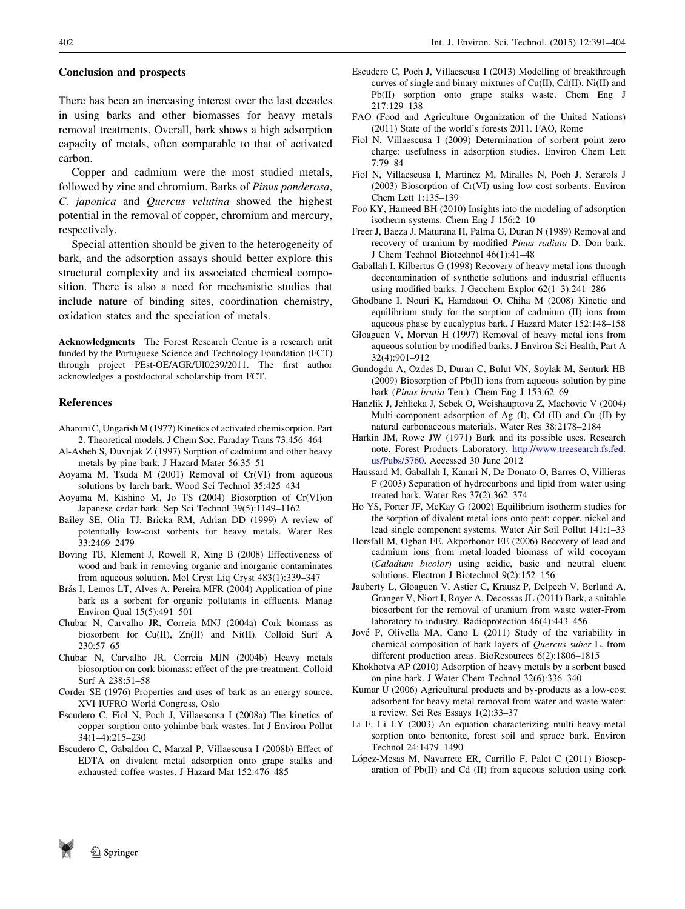# <span id="page-11-0"></span>Conclusion and prospects

There has been an increasing interest over the last decades in using barks and other biomasses for heavy metals removal treatments. Overall, bark shows a high adsorption capacity of metals, often comparable to that of activated carbon.

Copper and cadmium were the most studied metals, followed by zinc and chromium. Barks of *Pinus ponderosa*, C. japonica and Quercus velutina showed the highest potential in the removal of copper, chromium and mercury, respectively.

Special attention should be given to the heterogeneity of bark, and the adsorption assays should better explore this structural complexity and its associated chemical composition. There is also a need for mechanistic studies that include nature of binding sites, coordination chemistry, oxidation states and the speciation of metals.

Acknowledgments The Forest Research Centre is a research unit funded by the Portuguese Science and Technology Foundation (FCT) through project PEst-OE/AGR/UI0239/2011. The first author acknowledges a postdoctoral scholarship from FCT.

## References

- Aharoni C, Ungarish M (1977) Kinetics of activated chemisorption. Part 2. Theoretical models. J Chem Soc, Faraday Trans 73:456–464
- Al-Asheh S, Duvnjak Z (1997) Sorption of cadmium and other heavy metals by pine bark. J Hazard Mater 56:35–51
- Aoyama M, Tsuda M (2001) Removal of Cr(VI) from aqueous solutions by larch bark. Wood Sci Technol 35:425–434
- Aoyama M, Kishino M, Jo TS (2004) Biosorption of Cr(VI)on Japanese cedar bark. Sep Sci Technol 39(5):1149–1162
- Bailey SE, Olin TJ, Bricka RM, Adrian DD (1999) A review of potentially low-cost sorbents for heavy metals. Water Res 33:2469–2479
- Boving TB, Klement J, Rowell R, Xing B (2008) Effectiveness of wood and bark in removing organic and inorganic contaminates from aqueous solution. Mol Cryst Liq Cryst 483(1):339–347
- Brás I, Lemos LT, Alves A, Pereira MFR (2004) Application of pine bark as a sorbent for organic pollutants in effluents. Manag Environ Qual 15(5):491–501
- Chubar N, Carvalho JR, Correia MNJ (2004a) Cork biomass as biosorbent for Cu(II), Zn(II) and Ni(II). Colloid Surf A 230:57–65
- Chubar N, Carvalho JR, Correia MJN (2004b) Heavy metals biosorption on cork biomass: effect of the pre-treatment. Colloid Surf A 238:51–58
- Corder SE (1976) Properties and uses of bark as an energy source. XVI IUFRO World Congress, Oslo
- Escudero C, Fiol N, Poch J, Villaescusa I (2008a) The kinetics of copper sorption onto yohimbe bark wastes. Int J Environ Pollut 34(1–4):215–230
- Escudero C, Gabaldon C, Marzal P, Villaescusa I (2008b) Effect of EDTA on divalent metal adsorption onto grape stalks and exhausted coffee wastes. J Hazard Mat 152:476–485
- Escudero C, Poch J, Villaescusa I (2013) Modelling of breakthrough curves of single and binary mixtures of Cu(II), Cd(II), Ni(II) and Pb(II) sorption onto grape stalks waste. Chem Eng J 217:129–138
- FAO (Food and Agriculture Organization of the United Nations) (2011) State of the world's forests 2011. FAO, Rome
- Fiol N, Villaescusa I (2009) Determination of sorbent point zero charge: usefulness in adsorption studies. Environ Chem Lett 7:79–84
- Fiol N, Villaescusa I, Martinez M, Miralles N, Poch J, Serarols J (2003) Biosorption of Cr(VI) using low cost sorbents. Environ Chem Lett 1:135–139
- Foo KY, Hameed BH (2010) Insights into the modeling of adsorption isotherm systems. Chem Eng J 156:2–10
- Freer J, Baeza J, Maturana H, Palma G, Duran N (1989) Removal and recovery of uranium by modified Pinus radiata D. Don bark. J Chem Technol Biotechnol 46(1):41–48
- Gaballah I, Kilbertus G (1998) Recovery of heavy metal ions through decontamination of synthetic solutions and industrial effluents using modified barks. J Geochem Explor 62(1–3):241–286
- Ghodbane I, Nouri K, Hamdaoui O, Chiha M (2008) Kinetic and equilibrium study for the sorption of cadmium (II) ions from aqueous phase by eucalyptus bark. J Hazard Mater 152:148–158
- Gloaguen V, Morvan H (1997) Removal of heavy metal ions from aqueous solution by modified barks. J Environ Sci Health, Part A 32(4):901–912
- Gundogdu A, Ozdes D, Duran C, Bulut VN, Soylak M, Senturk HB (2009) Biosorption of Pb(II) ions from aqueous solution by pine bark (Pinus brutia Ten.). Chem Eng J 153:62–69
- Hanzlik J, Jehlicka J, Sebek O, Weishauptova Z, Machovic V (2004) Multi-component adsorption of Ag (I), Cd (II) and Cu (II) by natural carbonaceous materials. Water Res 38:2178–2184
- Harkin JM, Rowe JW (1971) Bark and its possible uses. Research note. Forest Products Laboratory. [http://www.treesearch.fs.fed.](http://www.treesearch.fs.fed.us/Pubs/5760) [us/Pubs/5760.](http://www.treesearch.fs.fed.us/Pubs/5760) Accessed 30 June 2012
- Haussard M, Gaballah I, Kanari N, De Donato O, Barres O, Villieras F (2003) Separation of hydrocarbons and lipid from water using treated bark. Water Res 37(2):362–374
- Ho YS, Porter JF, McKay G (2002) Equilibrium isotherm studies for the sorption of divalent metal ions onto peat: copper, nickel and lead single component systems. Water Air Soil Pollut 141:1–33
- Horsfall M, Ogban FE, Akporhonor EE (2006) Recovery of lead and cadmium ions from metal-loaded biomass of wild cocoyam (Caladium bicolor) using acidic, basic and neutral eluent solutions. Electron J Biotechnol 9(2):152–156
- Jauberty L, Gloaguen V, Astier C, Krausz P, Delpech V, Berland A, Granger V, Niort I, Royer A, Decossas JL (2011) Bark, a suitable biosorbent for the removal of uranium from waste water-From laboratory to industry. Radioprotection 46(4):443–456
- Jové P, Olivella MA, Cano L (2011) Study of the variability in chemical composition of bark layers of Quercus suber L. from different production areas. BioResources 6(2):1806–1815
- Khokhotva AP (2010) Adsorption of heavy metals by a sorbent based on pine bark. J Water Chem Technol 32(6):336–340
- Kumar U (2006) Agricultural products and by-products as a low-cost adsorbent for heavy metal removal from water and waste-water: a review. Sci Res Essays 1(2):33–37
- Li F, Li LY (2003) An equation characterizing multi-heavy-metal sorption onto bentonite, forest soil and spruce bark. Environ Technol 24:1479–1490
- López-Mesas M, Navarrete ER, Carrillo F, Palet C (2011) Bioseparation of Pb(II) and Cd (II) from aqueous solution using cork

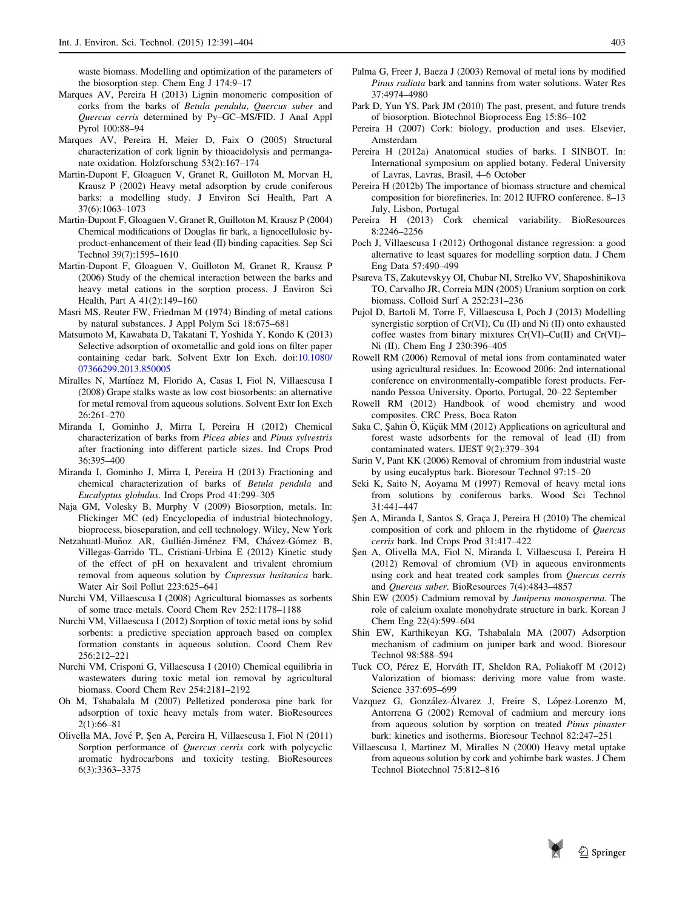<span id="page-12-0"></span>waste biomass. Modelling and optimization of the parameters of the biosorption step. Chem Eng J 174:9–17

- Marques AV, Pereira H (2013) Lignin monomeric composition of corks from the barks of Betula pendula, Quercus suber and Quercus cerris determined by Py–GC–MS/FID. J Anal Appl Pyrol 100:88–94
- Marques AV, Pereira H, Meier D, Faix O (2005) Structural characterization of cork lignin by thioacidolysis and permanganate oxidation. Holzforschung 53(2):167–174
- Martin-Dupont F, Gloaguen V, Granet R, Guilloton M, Morvan H, Krausz P (2002) Heavy metal adsorption by crude coniferous barks: a modelling study. J Environ Sci Health, Part A 37(6):1063–1073
- Martin-Dupont F, Gloaguen V, Granet R, Guilloton M, Krausz P (2004) Chemical modifications of Douglas fir bark, a lignocellulosic byproduct-enhancement of their lead (II) binding capacities. Sep Sci Technol 39(7):1595–1610
- Martin-Dupont F, Gloaguen V, Guilloton M, Granet R, Krausz P (2006) Study of the chemical interaction between the barks and heavy metal cations in the sorption process. J Environ Sci Health, Part A 41(2):149–160
- Masri MS, Reuter FW, Friedman M (1974) Binding of metal cations by natural substances. J Appl Polym Sci 18:675–681
- Matsumoto M, Kawabata D, Takatani T, Yoshida Y, Kondo K (2013) Selective adsorption of oxometallic and gold ions on filter paper containing cedar bark. Solvent Extr Ion Exch. doi[:10.1080/](http://dx.doi.org/10.1080/07366299.2013.850005) [07366299.2013.850005](http://dx.doi.org/10.1080/07366299.2013.850005)
- Miralles N, Martínez M, Florido A, Casas I, Fiol N, Villaescusa I (2008) Grape stalks waste as low cost biosorbents: an alternative for metal removal from aqueous solutions. Solvent Extr Ion Exch 26:261–270
- Miranda I, Gominho J, Mirra I, Pereira H (2012) Chemical characterization of barks from Picea abies and Pinus sylvestris after fractioning into different particle sizes. Ind Crops Prod 36:395–400
- Miranda I, Gominho J, Mirra I, Pereira H (2013) Fractioning and chemical characterization of barks of Betula pendula and Eucalyptus globulus. Ind Crops Prod 41:299–305
- Naja GM, Volesky B, Murphy V (2009) Biosorption, metals. In: Flickinger MC (ed) Encyclopedia of industrial biotechnology, bioprocess, bioseparation, and cell technology. Wiley, New York
- Netzahuatl-Muñoz AR, Gullién-Jiménez FM, Chávez-Gómez B, Villegas-Garrido TL, Cristiani-Urbina E (2012) Kinetic study of the effect of pH on hexavalent and trivalent chromium removal from aqueous solution by Cupressus lusitanica bark. Water Air Soil Pollut 223:625–641
- Nurchi VM, Villaescusa I (2008) Agricultural biomasses as sorbents of some trace metals. Coord Chem Rev 252:1178–1188
- Nurchi VM, Villaescusa I (2012) Sorption of toxic metal ions by solid sorbents: a predictive speciation approach based on complex formation constants in aqueous solution. Coord Chem Rev 256:212–221
- Nurchi VM, Crisponi G, Villaescusa I (2010) Chemical equilibria in wastewaters during toxic metal ion removal by agricultural biomass. Coord Chem Rev 254:2181–2192
- Oh M, Tshabalala M (2007) Pelletized ponderosa pine bark for adsorption of toxic heavy metals from water. BioResources 2(1):66–81
- Olivella MA, Jové P, Şen A, Pereira H, Villaescusa I, Fiol N (2011) Sorption performance of *Quercus cerris* cork with polycyclic aromatic hydrocarbons and toxicity testing. BioResources 6(3):3363–3375
- Palma G, Freer J, Baeza J (2003) Removal of metal ions by modified Pinus radiata bark and tannins from water solutions. Water Res 37:4974–4980
- Park D, Yun YS, Park JM (2010) The past, present, and future trends of biosorption. Biotechnol Bioprocess Eng 15:86–102
- Pereira H (2007) Cork: biology, production and uses. Elsevier, Amsterdam
- Pereira H (2012a) Anatomical studies of barks. I SINBOT. In: International symposium on applied botany. Federal University of Lavras, Lavras, Brasil, 4–6 October
- Pereira H (2012b) The importance of biomass structure and chemical composition for biorefineries. In: 2012 IUFRO conference. 8–13 July, Lisbon, Portugal
- Pereira H (2013) Cork chemical variability. BioResources 8:2246–2256
- Poch J, Villaescusa I (2012) Orthogonal distance regression: a good alternative to least squares for modelling sorption data. J Chem Eng Data 57:490–499
- Psareva TS, Zakutevskyy OI, Chubar NI, Strelko VV, Shaposhinikova TO, Carvalho JR, Correia MJN (2005) Uranium sorption on cork biomass. Colloid Surf A 252:231–236
- Pujol D, Bartoli M, Torre F, Villaescusa I, Poch J (2013) Modelling synergistic sorption of Cr(VI), Cu (II) and Ni (II) onto exhausted coffee wastes from binary mixtures Cr(VI)–Cu(II) and Cr(VI)– Ni (II). Chem Eng J 230:396–405
- Rowell RM (2006) Removal of metal ions from contaminated water using agricultural residues. In: Ecowood 2006: 2nd international conference on environmentally-compatible forest products. Fernando Pessoa University. Oporto, Portugal, 20–22 September
- Rowell RM (2012) Handbook of wood chemistry and wood composites. CRC Press, Boca Raton
- Saka C, Şahin Ö, Küçük MM (2012) Applications on agricultural and forest waste adsorbents for the removal of lead (II) from contaminated waters. IJEST 9(2):379–394
- Sarin V, Pant KK (2006) Removal of chromium from industrial waste by using eucalyptus bark. Bioresour Technol 97:15–20
- Seki K, Saito N, Aoyama M (1997) Removal of heavy metal ions from solutions by coniferous barks. Wood Sci Technol 31:441–447
- Sen A, Miranda I, Santos S, Graça J, Pereira H (2010) The chemical composition of cork and phloem in the rhytidome of Quercus cerris bark. Ind Crops Prod 31:417–422
- Şen A, Olivella MA, Fiol N, Miranda I, Villaescusa I, Pereira H (2012) Removal of chromium (VI) in aqueous environments using cork and heat treated cork samples from Quercus cerris and Quercus suber. BioResources 7(4):4843–4857
- Shin EW (2005) Cadmium removal by Juniperus monosperma. The role of calcium oxalate monohydrate structure in bark. Korean J Chem Eng 22(4):599–604
- Shin EW, Karthikeyan KG, Tshabalala MA (2007) Adsorption mechanism of cadmium on juniper bark and wood. Bioresour Technol 98:588–594
- Tuck CO, Pérez E, Horváth IT, Sheldon RA, Poliakoff M (2012) Valorization of biomass: deriving more value from waste. Science 337:695–699
- Vazquez G, González-Álvarez J, Freire S, López-Lorenzo M, Antorrena G (2002) Removal of cadmium and mercury ions from aqueous solution by sorption on treated Pinus pinaster bark: kinetics and isotherms. Bioresour Technol 82:247–251
- Villaescusa I, Martinez M, Miralles N (2000) Heavy metal uptake from aqueous solution by cork and yohimbe bark wastes. J Chem Technol Biotechnol 75:812–816